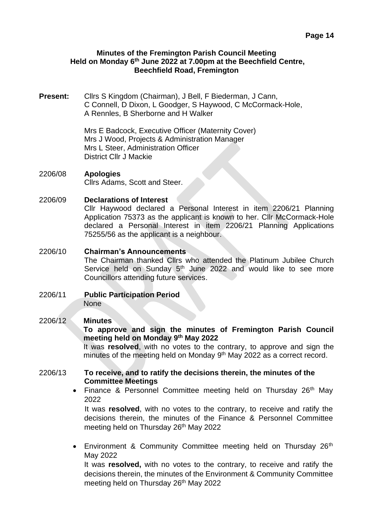#### **Minutes of the Fremington Parish Council Meeting Held on Monday 6 th June 2022 at 7.00pm at the Beechfield Centre, Beechfield Road, Fremington**

**Present:** Cllrs S Kingdom (Chairman), J Bell, F Biederman, J Cann, C Connell, D Dixon, L Goodger, S Haywood, C McCormack-Hole, A Rennles, B Sherborne and H Walker

> Mrs E Badcock, Executive Officer (Maternity Cover) Mrs J Wood, Projects & Administration Manager Mrs L Steer, Administration Officer District Cllr J Mackie

2206/08 **Apologies**  Cllrs Adams, Scott and Steer.

#### 2206/09 **Declarations of Interest**

Cllr Haywood declared a Personal Interest in item 2206/21 Planning Application 75373 as the applicant is known to her. Cllr McCormack-Hole declared a Personal Interest in item 2206/21 Planning Applications 75255/56 as the applicant is a neighbour.

- 2206/10 **Chairman's Announcements** The Chairman thanked Cllrs who attended the Platinum Jubilee Church Service held on Sunday 5<sup>th</sup> June 2022 and would like to see more Councillors attending future services.
- 2206/11 **Public Participation Period** None

# 2206/12 **Minutes**

**To approve and sign the minutes of Fremington Parish Council meeting held on Monday 9 th May 2022** 

It was **resolved**, with no votes to the contrary, to approve and sign the minutes of the meeting held on Monday 9<sup>th</sup> May 2022 as a correct record.

# 2206/13 **To receive, and to ratify the decisions therein, the minutes of the Committee Meetings**

• Finance & Personnel Committee meeting held on Thursday 26<sup>th</sup> May 2022

It was **resolved**, with no votes to the contrary, to receive and ratify the decisions therein, the minutes of the Finance & Personnel Committee meeting held on Thursday 26<sup>th</sup> May 2022

• Environment & Community Committee meeting held on Thursday  $26<sup>th</sup>$ May 2022

It was **resolved,** with no votes to the contrary, to receive and ratify the decisions therein, the minutes of the Environment & Community Committee meeting held on Thursday 26<sup>th</sup> May 2022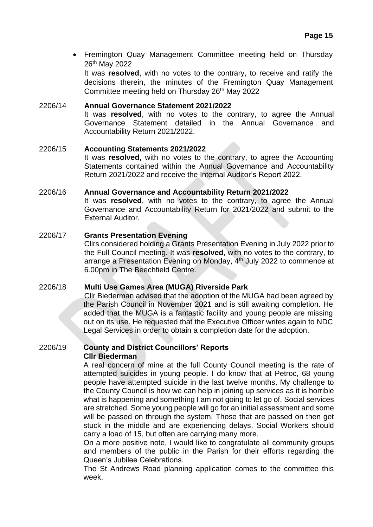• Fremington Quay Management Committee meeting held on Thursday 26th May 2022

It was **resolved**, with no votes to the contrary, to receive and ratify the decisions therein, the minutes of the Fremington Quay Management Committee meeting held on Thursday 26<sup>th</sup> May 2022

# 2206/14 **Annual Governance Statement 2021/2022** It was **resolved**, with no votes to the contrary, to agree the Annual Governance Statement detailed in the Annual Governance and Accountability Return 2021/2022.

# 2206/15 **Accounting Statements 2021/2022** It was **resolved,** with no votes to the contrary, to agree the Accounting Statements contained within the Annual Governance and Accountability Return 2021/2022 and receive the Internal Auditor's Report 2022.

#### 2206/16 **Annual Governance and Accountability Return 2021/2022**

It was **resolved**, with no votes to the contrary, to agree the Annual Governance and Accountability Return for 2021/2022 and submit to the External Auditor.

# 2206/17 **Grants Presentation Evening**

Cllrs considered holding a Grants Presentation Evening in July 2022 prior to the Full Council meeting. It was **resolved**, with no votes to the contrary, to arrange a Presentation Evening on Monday, 4<sup>th</sup> July 2022 to commence at 6.00pm in The Beechfield Centre.

#### 2206/18 **Multi Use Games Area (MUGA) Riverside Park**

Cllr Biederman advised that the adoption of the MUGA had been agreed by the Parish Council in November 2021 and is still awaiting completion. He added that the MUGA is a fantastic facility and young people are missing out on its use. He requested that the Executive Officer writes again to NDC Legal Services in order to obtain a completion date for the adoption.

#### 2206/19 **County and District Councillors' Reports Cllr Biederman**

A real concern of mine at the full County Council meeting is the rate of attempted suicides in young people. I do know that at Petroc, 68 young people have attempted suicide in the last twelve months. My challenge to the County Council is how we can help in joining up services as it is horrible what is happening and something I am not going to let go of. Social services are stretched. Some young people will go for an initial assessment and some will be passed on through the system. Those that are passed on then get stuck in the middle and are experiencing delays. Social Workers should carry a load of 15, but often are carrying many more.

On a more positive note, I would like to congratulate all community groups and members of the public in the Parish for their efforts regarding the Queen's Jubilee Celebrations.

The St Andrews Road planning application comes to the committee this week.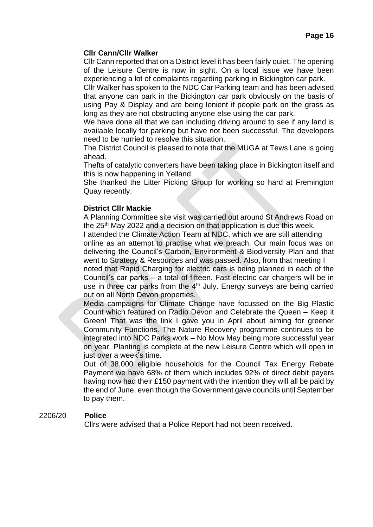#### **Cllr Cann/Cllr Walker**

Cllr Cann reported that on a District level it has been fairly quiet. The opening of the Leisure Centre is now in sight. On a local issue we have been experiencing a lot of complaints regarding parking in Bickington car park.

Cllr Walker has spoken to the NDC Car Parking team and has been advised that anyone can park in the Bickington car park obviously on the basis of using Pay & Display and are being lenient if people park on the grass as long as they are not obstructing anyone else using the car park.

We have done all that we can including driving around to see if any land is available locally for parking but have not been successful. The developers need to be hurried to resolve this situation.

The District Council is pleased to note that the MUGA at Tews Lane is going ahead.

Thefts of catalytic converters have been taking place in Bickington itself and this is now happening in Yelland.

She thanked the Litter Picking Group for working so hard at Fremington Quay recently.

# **District Cllr Mackie**

A Planning Committee site visit was carried out around St Andrews Road on the 25<sup>th</sup> May 2022 and a decision on that application is due this week.

I attended the Climate Action Team at NDC, which we are still attending online as an attempt to practise what we preach. Our main focus was on delivering the Council's Carbon, Environment & Biodiversity Plan and that went to Strategy & Resources and was passed. Also, from that meeting I noted that Rapid Charging for electric cars is being planned in each of the Council's car parks – a total of fifteen. Fast electric car chargers will be in use in three car parks from the  $4<sup>th</sup>$  July. Energy surveys are being carried out on all North Devon properties.

Media campaigns for Climate Change have focussed on the Big Plastic Count which featured on Radio Devon and Celebrate the Queen – Keep it Green! That was the link I gave you in April about aiming for greener Community Functions. The Nature Recovery programme continues to be integrated into NDC Parks work – No Mow May being more successful year on year. Planting is complete at the new Leisure Centre which will open in just over a week's time.

Out of 38,000 eligible households for the Council Tax Energy Rebate Payment we have 68% of them which includes 92% of direct debit payers having now had their £150 payment with the intention they will all be paid by the end of June, even though the Government gave councils until September to pay them.

#### 2206/20 **Police**

Cllrs were advised that a Police Report had not been received.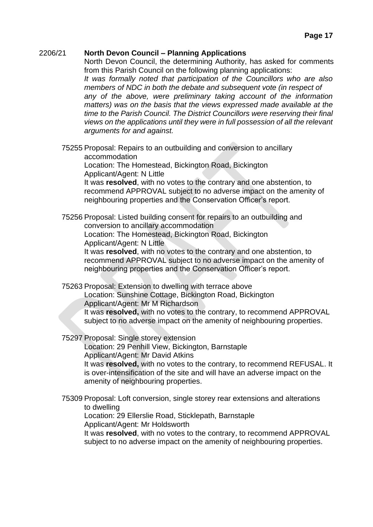#### 2206/21 **North Devon Council – Planning Applications**

North Devon Council, the determining Authority, has asked for comments from this Parish Council on the following planning applications:

*It was formally noted that participation of the Councillors who are also members of NDC in both the debate and subsequent vote (in respect of any of the above, were preliminary taking account of the information matters) was on the basis that the views expressed made available at the time to the Parish Council. The District Councillors were reserving their final views on the applications until they were in full possession of all the relevant arguments for and against.*

75255 Proposal: Repairs to an outbuilding and conversion to ancillary accommodation

Location: The Homestead, Bickington Road, Bickington Applicant/Agent: N Little

It was **resolved**, with no votes to the contrary and one abstention, to recommend APPROVAL subject to no adverse impact on the amenity of neighbouring properties and the Conservation Officer's report.

75256 Proposal: Listed building consent for repairs to an outbuilding and conversion to ancillary accommodation

Location: The Homestead, Bickington Road, Bickington

Applicant/Agent: N Little

It was **resolved**, with no votes to the contrary and one abstention, to recommend APPROVAL subject to no adverse impact on the amenity of neighbouring properties and the Conservation Officer's report.

75263 Proposal: Extension to dwelling with terrace above

Location: Sunshine Cottage, Bickington Road, Bickington Applicant/Agent: Mr M Richardson

It was **resolved,** with no votes to the contrary, to recommend APPROVAL subject to no adverse impact on the amenity of neighbouring properties.

75297 Proposal: Single storey extension

Location: 29 Penhill View, Bickington, Barnstaple Applicant/Agent: Mr David Atkins It was **resolved,** with no votes to the contrary, to recommend REFUSAL. It is over-intensification of the site and will have an adverse impact on the amenity of neighbouring properties.

75309 Proposal: Loft conversion, single storey rear extensions and alterations to dwelling

Location: 29 Ellerslie Road, Sticklepath, Barnstaple Applicant/Agent: Mr Holdsworth

It was **resolved**, with no votes to the contrary, to recommend APPROVAL subject to no adverse impact on the amenity of neighbouring properties.